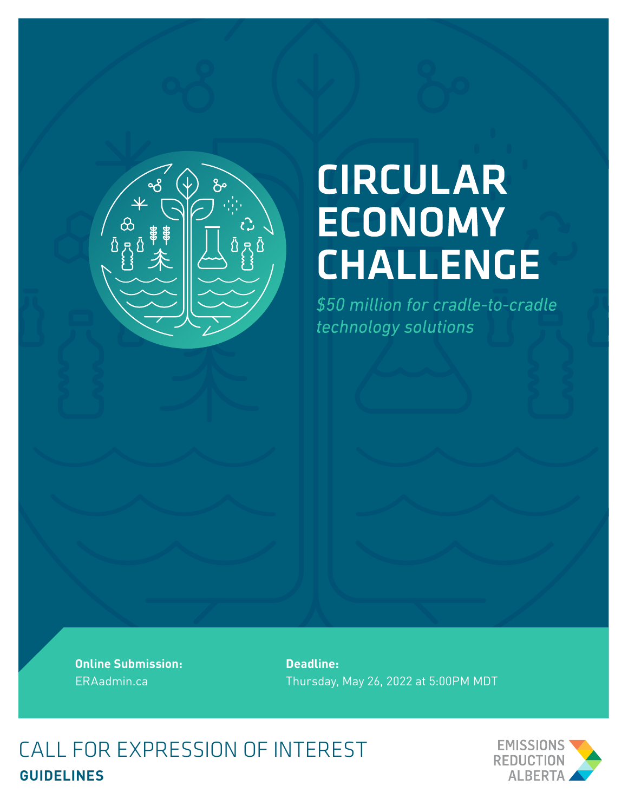

# **CIRCULAR ECONOMY CHALLENGE**

\$50 million for cradle-to-cradle technology solutions

**Online Submission:**  ERAadmin.ca

**Deadline:**  Thursday, May 26, 2022 at 5:00PM MDT

CALL FOR EXPRESSION OF INTEREST **GUIDELINES**

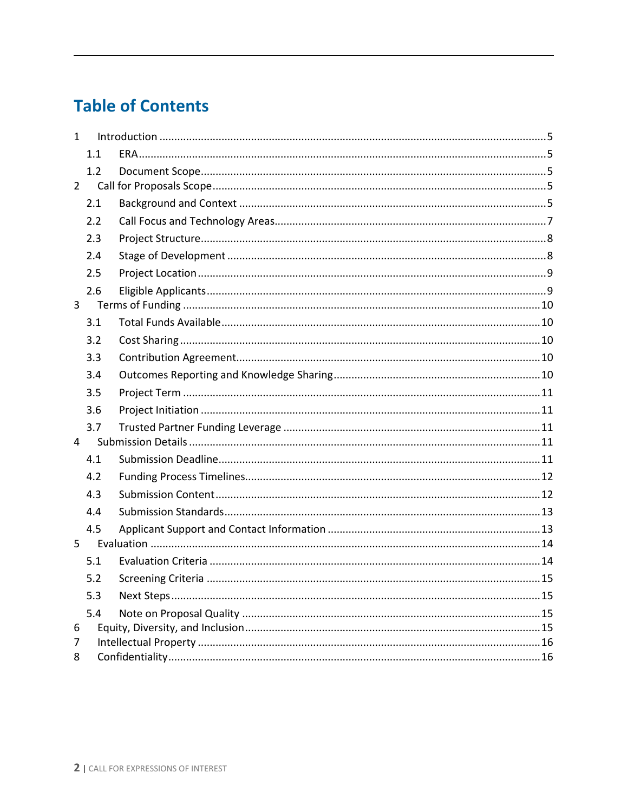# **Table of Contents**

| $\mathbf{1}$   |     |  |  |
|----------------|-----|--|--|
|                | 1.1 |  |  |
|                | 1.2 |  |  |
| $2^{\circ}$    |     |  |  |
|                | 2.1 |  |  |
|                | 2.2 |  |  |
|                | 2.3 |  |  |
|                | 2.4 |  |  |
|                | 2.5 |  |  |
|                | 2.6 |  |  |
| $\overline{3}$ |     |  |  |
|                | 3.1 |  |  |
|                | 3.2 |  |  |
|                | 3.3 |  |  |
|                | 3.4 |  |  |
|                | 3.5 |  |  |
|                | 3.6 |  |  |
|                | 3.7 |  |  |
| $\overline{4}$ |     |  |  |
|                | 4.1 |  |  |
|                | 4.2 |  |  |
|                | 4.3 |  |  |
|                | 4.4 |  |  |
|                | 4.5 |  |  |
| 5              |     |  |  |
|                | 5.1 |  |  |
|                | 5.2 |  |  |
|                | 5.3 |  |  |
|                | 5.4 |  |  |
| 6              |     |  |  |
| 7<br>8         |     |  |  |
|                |     |  |  |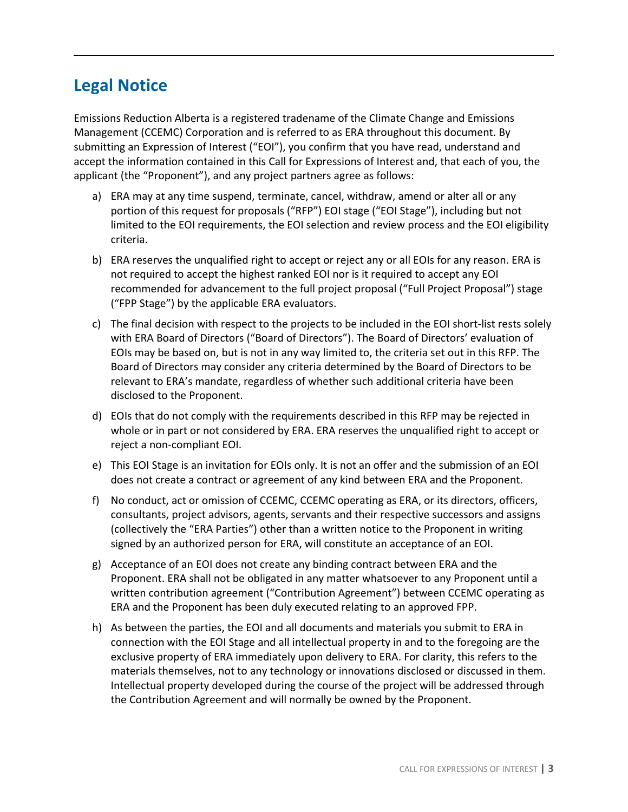# **Legal Notice**

Emissions Reduction Alberta is a registered tradename of the Climate Change and Emissions Management (CCEMC) Corporation and is referred to as ERA throughout this document. By submitting an Expression of Interest ("EOI"), you confirm that you have read, understand and accept the information contained in this Call for Expressions of Interest and, that each of you, the applicant (the "Proponent"), and any project partners agree as follows:

- a) ERA may at any time suspend, terminate, cancel, withdraw, amend or alter all or any portion of this request for proposals ("RFP") EOI stage ("EOI Stage"), including but not limited to the EOI requirements, the EOI selection and review process and the EOI eligibility criteria.
- b) ERA reserves the unqualified right to accept or reject any or all EOIs for any reason. ERA is not required to accept the highest ranked EOI nor is it required to accept any EOI recommended for advancement to the full project proposal ("Full Project Proposal") stage ("FPP Stage") by the applicable ERA evaluators.
- c) The final decision with respect to the projects to be included in the EOI short-list rests solely with ERA Board of Directors ("Board of Directors"). The Board of Directors' evaluation of EOIs may be based on, but is not in any way limited to, the criteria set out in this RFP. The Board of Directors may consider any criteria determined by the Board of Directors to be relevant to ERA's mandate, regardless of whether such additional criteria have been disclosed to the Proponent.
- d) EOIs that do not comply with the requirements described in this RFP may be rejected in whole or in part or not considered by ERA. ERA reserves the unqualified right to accept or reject a non-compliant EOI.
- e) This EOI Stage is an invitation for EOIs only. It is not an offer and the submission of an EOI does not create a contract or agreement of any kind between ERA and the Proponent.
- f) No conduct, act or omission of CCEMC, CCEMC operating as ERA, or its directors, officers, consultants, project advisors, agents, servants and their respective successors and assigns (collectively the "ERA Parties") other than a written notice to the Proponent in writing signed by an authorized person for ERA, will constitute an acceptance of an EOI.
- g) Acceptance of an EOI does not create any binding contract between ERA and the Proponent. ERA shall not be obligated in any matter whatsoever to any Proponent until a written contribution agreement ("Contribution Agreement") between CCEMC operating as ERA and the Proponent has been duly executed relating to an approved FPP.
- h) As between the parties, the EOI and all documents and materials you submit to ERA in connection with the EOI Stage and all intellectual property in and to the foregoing are the exclusive property of ERA immediately upon delivery to ERA. For clarity, this refers to the materials themselves, not to any technology or innovations disclosed or discussed in them. Intellectual property developed during the course of the project will be addressed through the Contribution Agreement and will normally be owned by the Proponent.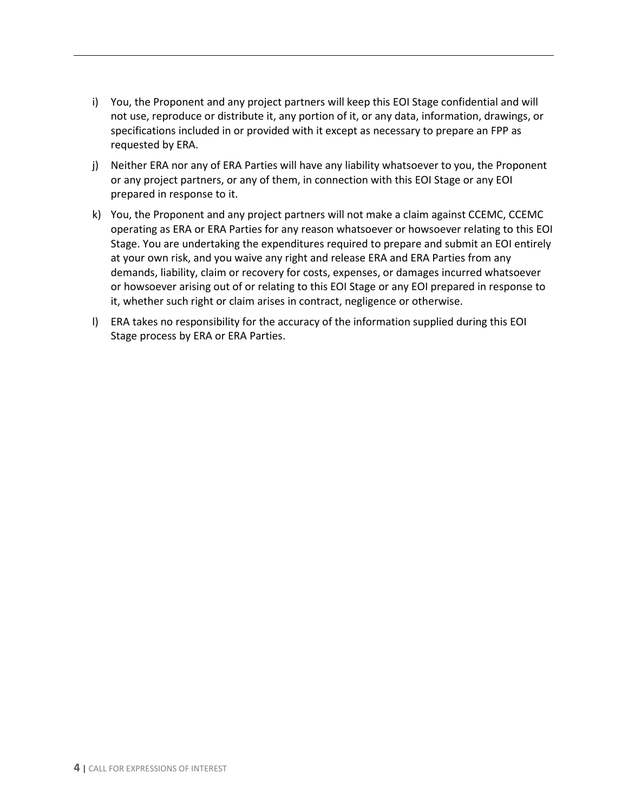- i) You, the Proponent and any project partners will keep this EOI Stage confidential and will not use, reproduce or distribute it, any portion of it, or any data, information, drawings, or specifications included in or provided with it except as necessary to prepare an FPP as requested by ERA.
- j) Neither ERA nor any of ERA Parties will have any liability whatsoever to you, the Proponent or any project partners, or any of them, in connection with this EOI Stage or any EOI prepared in response to it.
- k) You, the Proponent and any project partners will not make a claim against CCEMC, CCEMC operating as ERA or ERA Parties for any reason whatsoever or howsoever relating to this EOI Stage. You are undertaking the expenditures required to prepare and submit an EOI entirely at your own risk, and you waive any right and release ERA and ERA Parties from any demands, liability, claim or recovery for costs, expenses, or damages incurred whatsoever or howsoever arising out of or relating to this EOI Stage or any EOI prepared in response to it, whether such right or claim arises in contract, negligence or otherwise.
- l) ERA takes no responsibility for the accuracy of the information supplied during this EOI Stage process by ERA or ERA Parties.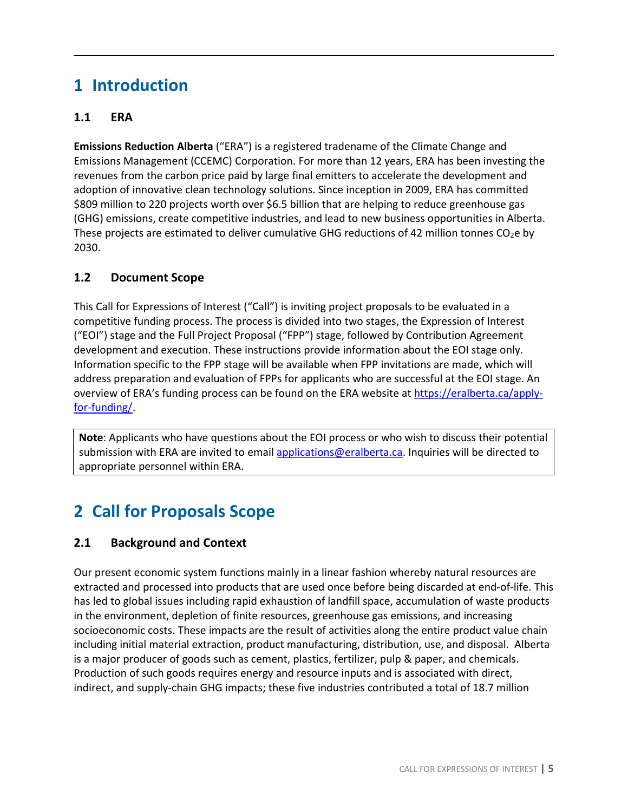# <span id="page-4-0"></span>**1 Introduction**

# <span id="page-4-1"></span>**1.1 ERA**

**Emissions Reduction Alberta** ("ERA") is a registered tradename of the Climate Change and Emissions Management (CCEMC) Corporation. For more than 12 years, ERA has been investing the revenues from the carbon price paid by large final emitters to accelerate the development and adoption of innovative clean technology solutions. Since inception in 2009, ERA has committed \$809 million to 220 projects worth over \$6.5 billion that are helping to reduce greenhouse gas (GHG) emissions, create competitive industries, and lead to new business opportunities in Alberta. These projects are estimated to deliver cumulative GHG reductions of 42 million tonnes  $CO<sub>2</sub>e$  by 2030.

# <span id="page-4-2"></span>**1.2 Document Scope**

This Call for Expressions of Interest ("Call") is inviting project proposals to be evaluated in a competitive funding process. The process is divided into two stages, the Expression of Interest ("EOI") stage and the Full Project Proposal ("FPP") stage, followed by Contribution Agreement development and execution. These instructions provide information about the EOI stage only. Information specific to the FPP stage will be available when FPP invitations are made, which will address preparation and evaluation of FPPs for applicants who are successful at the EOI stage. An overview of ERA's funding process can be found on the ERA website a[t https://eralberta.ca/apply](https://eralberta.ca/apply-for-funding/)[for-funding/.](https://eralberta.ca/apply-for-funding/)

**Note**: Applicants who have questions about the EOI process or who wish to discuss their potential submission with ERA are invited to emai[l applications@eralberta.ca.](mailto:applications@eralberta.ca) Inquiries will be directed to appropriate personnel within ERA.

# <span id="page-4-3"></span>**2 Call for Proposals Scope**

# <span id="page-4-4"></span>**2.1 Background and Context**

Our present economic system functions mainly in a linear fashion whereby natural resources are extracted and processed into products that are used once before being discarded at end-of-life. This has led to global issues including rapid exhaustion of landfill space, accumulation of waste products in the environment, depletion of finite resources, greenhouse gas emissions, and increasing socioeconomic costs. These impacts are the result of activities along the entire product value chain including initial material extraction, product manufacturing, distribution, use, and disposal. Alberta is a major producer of goods such as cement, plastics, fertilizer, pulp & paper, and chemicals. Production of such goods requires energy and resource inputs and is associated with direct, indirect, and supply-chain GHG impacts; these five industries contributed a total of 18.7 million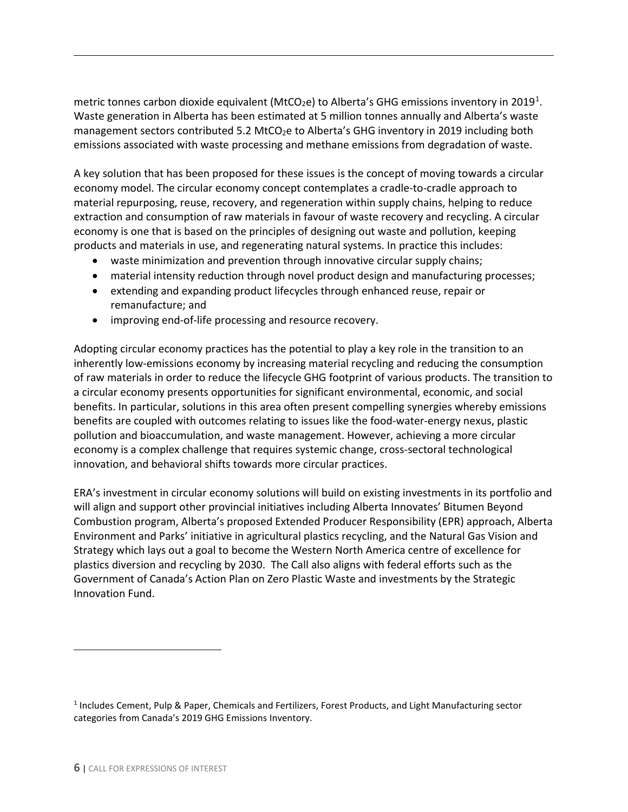metric tonnes carbon dioxide equivalent (MtCO<sub>2</sub>e) to Alberta's GHG emissions inventory in 20[1](#page-5-0)9<sup>1</sup>. Waste generation in Alberta has been estimated at 5 million tonnes annually and Alberta's waste management sectors contributed 5.2 MtCO<sub>2</sub>e to Alberta's GHG inventory in 2019 including both emissions associated with waste processing and methane emissions from degradation of waste.

A key solution that has been proposed for these issues is the concept of moving towards a circular economy model. The circular economy concept contemplates a cradle-to-cradle approach to material repurposing, reuse, recovery, and regeneration within supply chains, helping to reduce extraction and consumption of raw materials in favour of waste recovery and recycling. A circular economy is one that is based on the principles of designing out waste and pollution, keeping products and materials in use, and regenerating natural systems. In practice this includes:

- waste minimization and prevention through innovative circular supply chains;
- material intensity reduction through novel product design and manufacturing processes;
- extending and expanding product lifecycles through enhanced reuse, repair or remanufacture; and
- improving end-of-life processing and resource recovery.

Adopting circular economy practices has the potential to play a key role in the transition to an inherently low-emissions economy by increasing material recycling and reducing the consumption of raw materials in order to reduce the lifecycle GHG footprint of various products. The transition to a circular economy presents opportunities for significant environmental, economic, and social benefits. In particular, solutions in this area often present compelling synergies whereby emissions benefits are coupled with outcomes relating to issues like the food-water-energy nexus, plastic pollution and bioaccumulation, and waste management. However, achieving a more circular economy is a complex challenge that requires systemic change, cross-sectoral technological innovation, and behavioral shifts towards more circular practices.

ERA's investment in circular economy solutions will build on existing investments in its portfolio and will align and support other provincial initiatives including Alberta Innovates' Bitumen Beyond Combustion program, Alberta's proposed Extended Producer Responsibility (EPR) approach, Alberta Environment and Parks' initiative in agricultural plastics recycling, and the Natural Gas Vision and Strategy which lays out a goal to become the Western North America centre of excellence for plastics diversion and recycling by 2030. The Call also aligns with federal efforts such as the Government of Canada's Action Plan on Zero Plastic Waste and investments by the Strategic Innovation Fund.

<span id="page-5-0"></span><sup>1</sup> Includes Cement, Pulp & Paper, Chemicals and Fertilizers, Forest Products, and Light Manufacturing sector categories from Canada's 2019 GHG Emissions Inventory.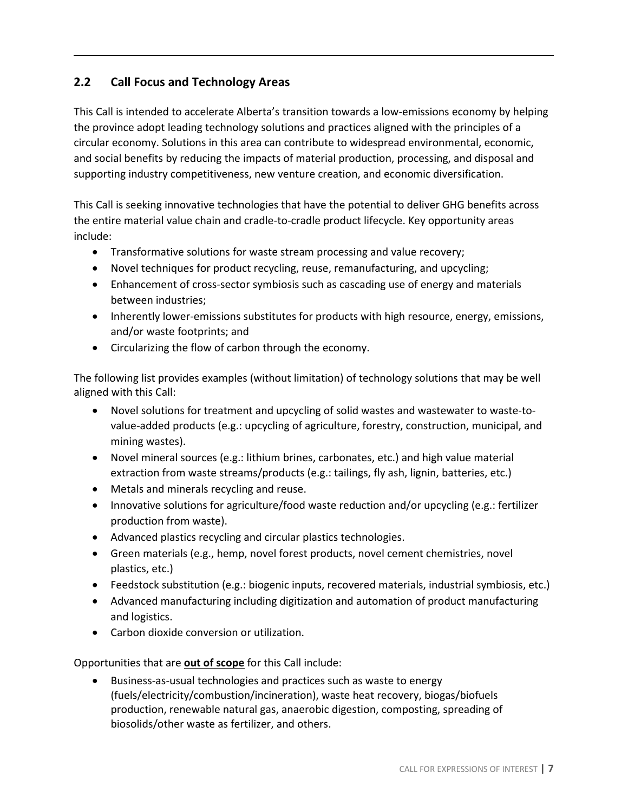# <span id="page-6-0"></span>**2.2 Call Focus and Technology Areas**

This Call is intended to accelerate Alberta's transition towards a low-emissions economy by helping the province adopt leading technology solutions and practices aligned with the principles of a circular economy. Solutions in this area can contribute to widespread environmental, economic, and social benefits by reducing the impacts of material production, processing, and disposal and supporting industry competitiveness, new venture creation, and economic diversification.

This Call is seeking innovative technologies that have the potential to deliver GHG benefits across the entire material value chain and cradle-to-cradle product lifecycle. Key opportunity areas include:

- Transformative solutions for waste stream processing and value recovery;
- Novel techniques for product recycling, reuse, remanufacturing, and upcycling;
- Enhancement of cross-sector symbiosis such as cascading use of energy and materials between industries;
- Inherently lower-emissions substitutes for products with high resource, energy, emissions, and/or waste footprints; and
- Circularizing the flow of carbon through the economy.

The following list provides examples (without limitation) of technology solutions that may be well aligned with this Call:

- Novel solutions for treatment and upcycling of solid wastes and wastewater to waste-tovalue-added products (e.g.: upcycling of agriculture, forestry, construction, municipal, and mining wastes).
- Novel mineral sources (e.g.: lithium brines, carbonates, etc.) and high value material extraction from waste streams/products (e.g.: tailings, fly ash, lignin, batteries, etc.)
- Metals and minerals recycling and reuse.
- Innovative solutions for agriculture/food waste reduction and/or upcycling (e.g.: fertilizer production from waste).
- Advanced plastics recycling and circular plastics technologies.
- Green materials (e.g., hemp, novel forest products, novel cement chemistries, novel plastics, etc.)
- Feedstock substitution (e.g.: biogenic inputs, recovered materials, industrial symbiosis, etc.)
- Advanced manufacturing including digitization and automation of product manufacturing and logistics.
- Carbon dioxide conversion or utilization.

Opportunities that are **out of scope** for this Call include:

• Business-as-usual technologies and practices such as waste to energy (fuels/electricity/combustion/incineration), waste heat recovery, biogas/biofuels production, renewable natural gas, anaerobic digestion, composting, spreading of biosolids/other waste as fertilizer, and others.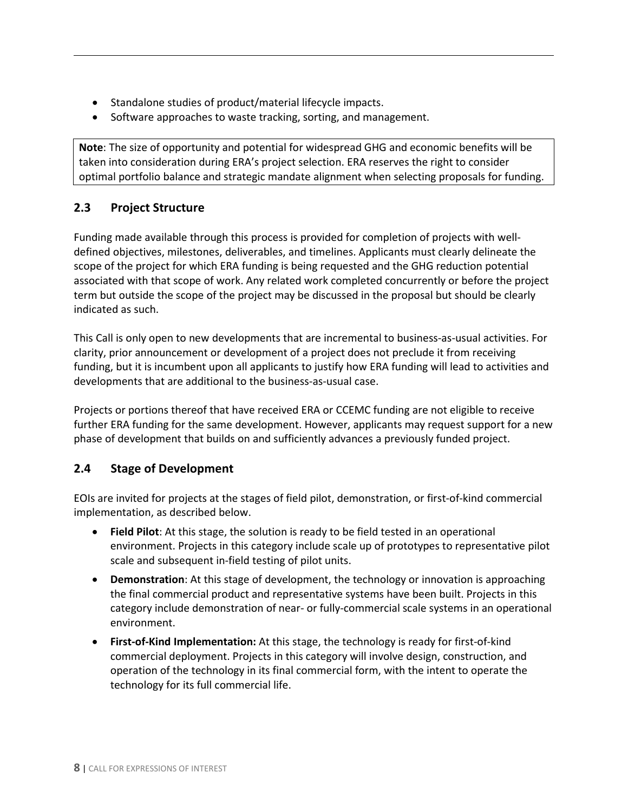- Standalone studies of product/material lifecycle impacts.
- Software approaches to waste tracking, sorting, and management.

**Note**: The size of opportunity and potential for widespread GHG and economic benefits will be taken into consideration during ERA's project selection. ERA reserves the right to consider optimal portfolio balance and strategic mandate alignment when selecting proposals for funding.

#### <span id="page-7-0"></span>**2.3 Project Structure**

Funding made available through this process is provided for completion of projects with welldefined objectives, milestones, deliverables, and timelines. Applicants must clearly delineate the scope of the project for which ERA funding is being requested and the GHG reduction potential associated with that scope of work. Any related work completed concurrently or before the project term but outside the scope of the project may be discussed in the proposal but should be clearly indicated as such.

This Call is only open to new developments that are incremental to business-as-usual activities. For clarity, prior announcement or development of a project does not preclude it from receiving funding, but it is incumbent upon all applicants to justify how ERA funding will lead to activities and developments that are additional to the business-as-usual case.

Projects or portions thereof that have received ERA or CCEMC funding are not eligible to receive further ERA funding for the same development. However, applicants may request support for a new phase of development that builds on and sufficiently advances a previously funded project.

# <span id="page-7-1"></span>**2.4 Stage of Development**

EOIs are invited for projects at the stages of field pilot, demonstration, or first-of-kind commercial implementation, as described below.

- **Field Pilot**: At this stage, the solution is ready to be field tested in an operational environment. Projects in this category include scale up of prototypes to representative pilot scale and subsequent in-field testing of pilot units.
- **Demonstration**: At this stage of development, the technology or innovation is approaching the final commercial product and representative systems have been built. Projects in this category include demonstration of near- or fully-commercial scale systems in an operational environment.
- **First-of-Kind Implementation:** At this stage, the technology is ready for first-of-kind commercial deployment. Projects in this category will involve design, construction, and operation of the technology in its final commercial form, with the intent to operate the technology for its full commercial life.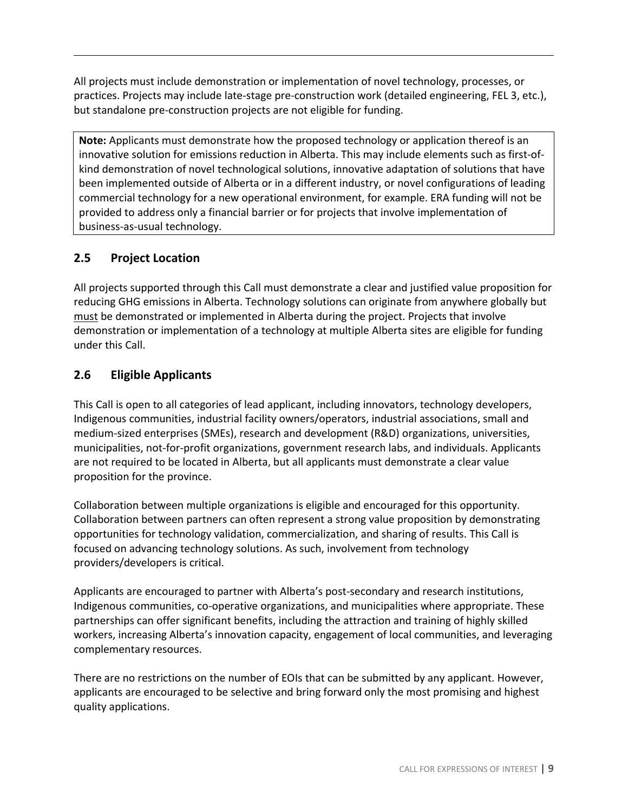All projects must include demonstration or implementation of novel technology, processes, or practices. Projects may include late-stage pre-construction work (detailed engineering, FEL 3, etc.), but standalone pre-construction projects are not eligible for funding.

**Note:** Applicants must demonstrate how the proposed technology or application thereof is an innovative solution for emissions reduction in Alberta. This may include elements such as first-ofkind demonstration of novel technological solutions, innovative adaptation of solutions that have been implemented outside of Alberta or in a different industry, or novel configurations of leading commercial technology for a new operational environment, for example. ERA funding will not be provided to address only a financial barrier or for projects that involve implementation of business-as-usual technology.

# <span id="page-8-0"></span>**2.5 Project Location**

All projects supported through this Call must demonstrate a clear and justified value proposition for reducing GHG emissions in Alberta. Technology solutions can originate from anywhere globally but must be demonstrated or implemented in Alberta during the project. Projects that involve demonstration or implementation of a technology at multiple Alberta sites are eligible for funding under this Call.

# <span id="page-8-1"></span>**2.6 Eligible Applicants**

This Call is open to all categories of lead applicant, including innovators, technology developers, Indigenous communities, industrial facility owners/operators, industrial associations, small and medium-sized enterprises (SMEs), research and development (R&D) organizations, universities, municipalities, not-for-profit organizations, government research labs, and individuals. Applicants are not required to be located in Alberta, but all applicants must demonstrate a clear value proposition for the province.

Collaboration between multiple organizations is eligible and encouraged for this opportunity. Collaboration between partners can often represent a strong value proposition by demonstrating opportunities for technology validation, commercialization, and sharing of results. This Call is focused on advancing technology solutions. As such, involvement from technology providers/developers is critical.

Applicants are encouraged to partner with Alberta's post-secondary and research institutions, Indigenous communities, co-operative organizations, and municipalities where appropriate. These partnerships can offer significant benefits, including the attraction and training of highly skilled workers, increasing Alberta's innovation capacity, engagement of local communities, and leveraging complementary resources.

There are no restrictions on the number of EOIs that can be submitted by any applicant. However, applicants are encouraged to be selective and bring forward only the most promising and highest quality applications.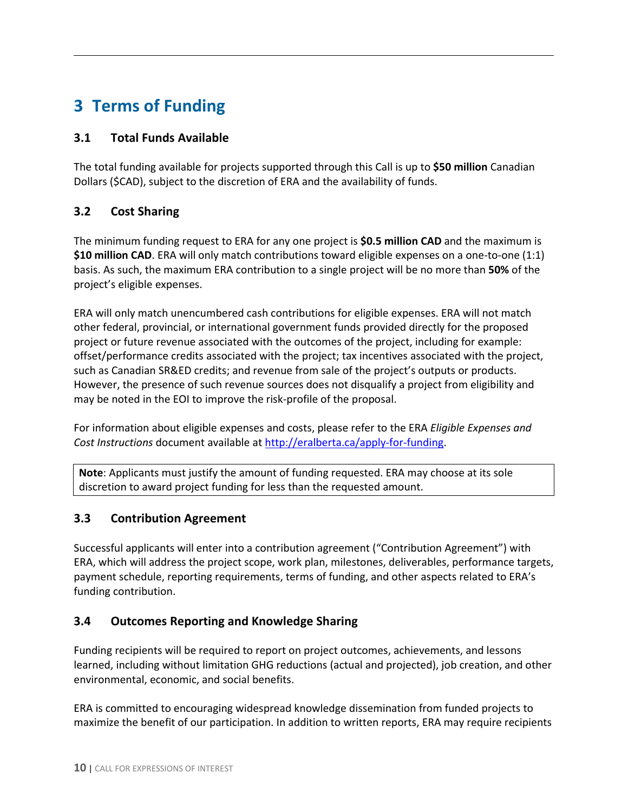# <span id="page-9-0"></span>**3 Terms of Funding**

## <span id="page-9-1"></span>**3.1 Total Funds Available**

The total funding available for projects supported through this Call is up to **\$50 million** Canadian Dollars (\$CAD), subject to the discretion of ERA and the availability of funds.

# <span id="page-9-2"></span>**3.2 Cost Sharing**

The minimum funding request to ERA for any one project is **\$0.5 million CAD** and the maximum is **\$10 million CAD**. ERA will only match contributions toward eligible expenses on a one-to-one (1:1) basis. As such, the maximum ERA contribution to a single project will be no more than **50%** of the project's eligible expenses.

ERA will only match unencumbered cash contributions for eligible expenses. ERA will not match other federal, provincial, or international government funds provided directly for the proposed project or future revenue associated with the outcomes of the project, including for example: offset/performance credits associated with the project; tax incentives associated with the project, such as Canadian SR&ED credits; and revenue from sale of the project's outputs or products. However, the presence of such revenue sources does not disqualify a project from eligibility and may be noted in the EOI to improve the risk-profile of the proposal.

For information about eligible expenses and costs, please refer to the ERA *Eligible Expenses and Cost Instructions* document available at [http://eralberta.ca/apply-for-funding.](http://eralberta.ca/apply-for-funding)

**Note**: Applicants must justify the amount of funding requested. ERA may choose at its sole discretion to award project funding for less than the requested amount.

# <span id="page-9-3"></span>**3.3 Contribution Agreement**

Successful applicants will enter into a contribution agreement ("Contribution Agreement") with ERA, which will address the project scope, work plan, milestones, deliverables, performance targets, payment schedule, reporting requirements, terms of funding, and other aspects related to ERA's funding contribution.

# <span id="page-9-4"></span>**3.4 Outcomes Reporting and Knowledge Sharing**

Funding recipients will be required to report on project outcomes, achievements, and lessons learned, including without limitation GHG reductions (actual and projected), job creation, and other environmental, economic, and social benefits.

ERA is committed to encouraging widespread knowledge dissemination from funded projects to maximize the benefit of our participation. In addition to written reports, ERA may require recipients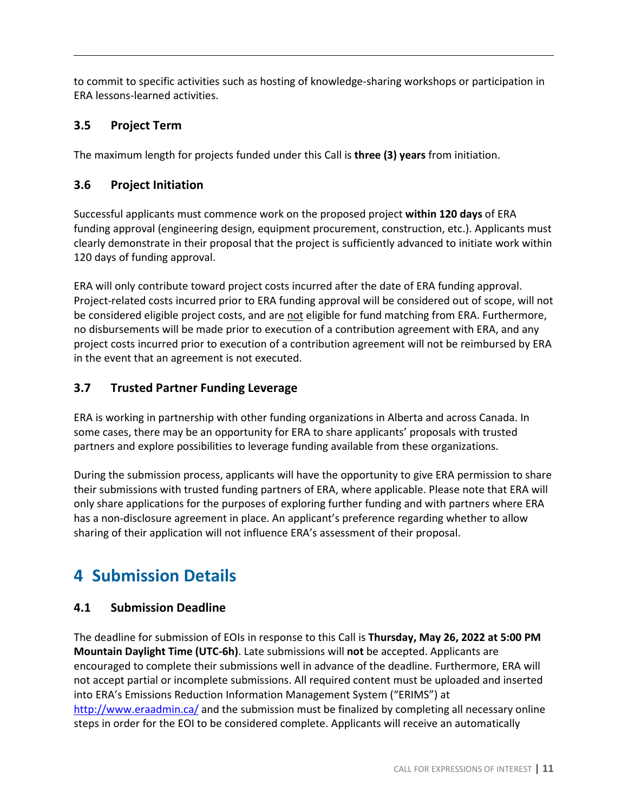to commit to specific activities such as hosting of knowledge-sharing workshops or participation in ERA lessons-learned activities.

# <span id="page-10-0"></span>**3.5 Project Term**

The maximum length for projects funded under this Call is **three (3) years** from initiation.

#### <span id="page-10-1"></span>**3.6 Project Initiation**

Successful applicants must commence work on the proposed project **within 120 days** of ERA funding approval (engineering design, equipment procurement, construction, etc.). Applicants must clearly demonstrate in their proposal that the project is sufficiently advanced to initiate work within 120 days of funding approval.

ERA will only contribute toward project costs incurred after the date of ERA funding approval. Project-related costs incurred prior to ERA funding approval will be considered out of scope, will not be considered eligible project costs, and are not eligible for fund matching from ERA. Furthermore, no disbursements will be made prior to execution of a contribution agreement with ERA, and any project costs incurred prior to execution of a contribution agreement will not be reimbursed by ERA in the event that an agreement is not executed.

#### <span id="page-10-2"></span>**3.7 Trusted Partner Funding Leverage**

ERA is working in partnership with other funding organizations in Alberta and across Canada. In some cases, there may be an opportunity for ERA to share applicants' proposals with trusted partners and explore possibilities to leverage funding available from these organizations.

During the submission process, applicants will have the opportunity to give ERA permission to share their submissions with trusted funding partners of ERA, where applicable. Please note that ERA will only share applications for the purposes of exploring further funding and with partners where ERA has a non-disclosure agreement in place. An applicant's preference regarding whether to allow sharing of their application will not influence ERA's assessment of their proposal.

# <span id="page-10-3"></span>**4 Submission Details**

#### <span id="page-10-4"></span>**4.1 Submission Deadline**

The deadline for submission of EOIs in response to this Call is **Thursday, May 26, 2022 at 5:00 PM Mountain Daylight Time (UTC-6h)**. Late submissions will **not** be accepted. Applicants are encouraged to complete their submissions well in advance of the deadline. Furthermore, ERA will not accept partial or incomplete submissions. All required content must be uploaded and inserted into ERA's Emissions Reduction Information Management System ("ERIMS") at <http://www.eraadmin.ca/> and the submission must be finalized by completing all necessary online steps in order for the EOI to be considered complete. Applicants will receive an automatically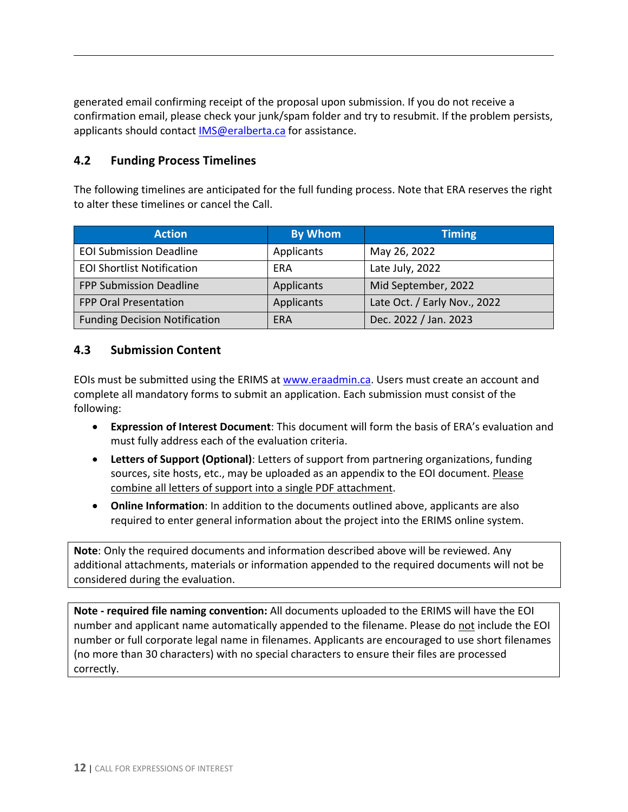generated email confirming receipt of the proposal upon submission. If you do not receive a confirmation email, please check your junk/spam folder and try to resubmit. If the problem persists, applicants should contact [IMS@eralberta.ca](mailto:IMS@eralberta.ca) for assistance.

## <span id="page-11-0"></span>**4.2 Funding Process Timelines**

The following timelines are anticipated for the full funding process. Note that ERA reserves the right to alter these timelines or cancel the Call.

| <b>Action</b>                        | <b>By Whom</b> | <b>Timing</b>                |
|--------------------------------------|----------------|------------------------------|
| <b>EOI Submission Deadline</b>       | Applicants     | May 26, 2022                 |
| <b>EOI Shortlist Notification</b>    | ERA            | Late July, 2022              |
| <b>FPP Submission Deadline</b>       | Applicants     | Mid September, 2022          |
| <b>FPP Oral Presentation</b>         | Applicants     | Late Oct. / Early Nov., 2022 |
| <b>Funding Decision Notification</b> | ERA            | Dec. 2022 / Jan. 2023        |

#### <span id="page-11-1"></span>**4.3 Submission Content**

EOIs must be submitted using the ERIMS at [www.eraadmin.ca.](http://www.eraadmin.ca/) Users must create an account and complete all mandatory forms to submit an application. Each submission must consist of the following:

- **Expression of Interest Document**: This document will form the basis of ERA's evaluation and must fully address each of the evaluation criteria.
- **Letters of Support (Optional)**: Letters of support from partnering organizations, funding sources, site hosts, etc., may be uploaded as an appendix to the EOI document. Please combine all letters of support into a single PDF attachment.
- **Online Information**: In addition to the documents outlined above, applicants are also required to enter general information about the project into the ERIMS online system.

**Note**: Only the required documents and information described above will be reviewed. Any additional attachments, materials or information appended to the required documents will not be considered during the evaluation.

**Note - required file naming convention:** All documents uploaded to the ERIMS will have the EOI number and applicant name automatically appended to the filename. Please do not include the EOI number or full corporate legal name in filenames. Applicants are encouraged to use short filenames (no more than 30 characters) with no special characters to ensure their files are processed correctly.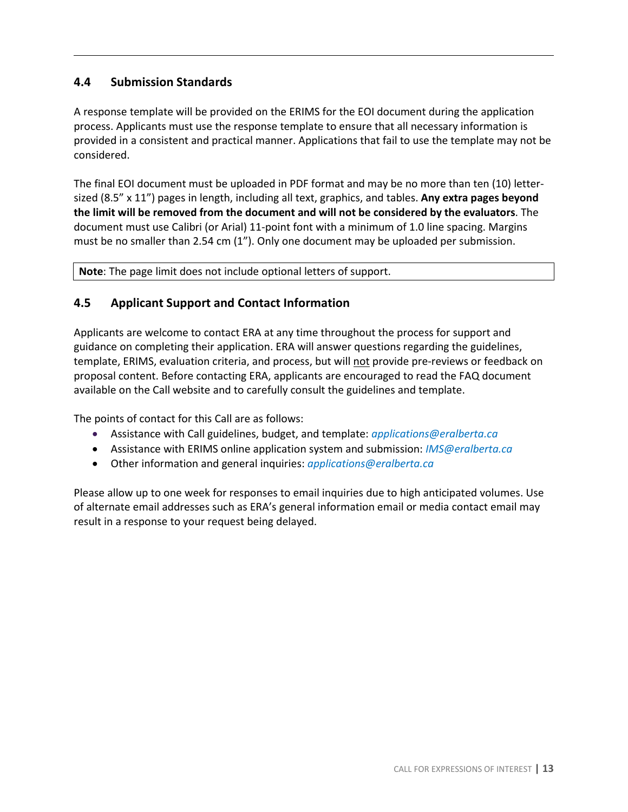# <span id="page-12-0"></span>**4.4 Submission Standards**

A response template will be provided on the ERIMS for the EOI document during the application process. Applicants must use the response template to ensure that all necessary information is provided in a consistent and practical manner. Applications that fail to use the template may not be considered.

The final EOI document must be uploaded in PDF format and may be no more than ten (10) lettersized (8.5" x 11") pages in length, including all text, graphics, and tables. **Any extra pages beyond the limit will be removed from the document and will not be considered by the evaluators**. The document must use Calibri (or Arial) 11-point font with a minimum of 1.0 line spacing. Margins must be no smaller than 2.54 cm (1"). Only one document may be uploaded per submission.

**Note**: The page limit does not include optional letters of support.

#### <span id="page-12-1"></span>**4.5 Applicant Support and Contact Information**

Applicants are welcome to contact ERA at any time throughout the process for support and guidance on completing their application. ERA will answer questions regarding the guidelines, template, ERIMS, evaluation criteria, and process, but will not provide pre-reviews or feedback on proposal content. Before contacting ERA, applicants are encouraged to read the FAQ document available on the Call website and to carefully consult the guidelines and template.

The points of contact for this Call are as follows:

- Assistance with Call guidelines, budget, and template: *[applications@eralberta.ca](mailto:applications@eralberta.ca)*
- Assistance with ERIMS online application system and submission: *[IMS@eralberta.ca](mailto:IMS@eralberta.ca)*
- Other information and general inquiries: *[applications@eralberta.ca](mailto:applications@eralberta.ca)*

Please allow up to one week for responses to email inquiries due to high anticipated volumes. Use of alternate email addresses such as ERA's general information email or media contact email may result in a response to your request being delayed.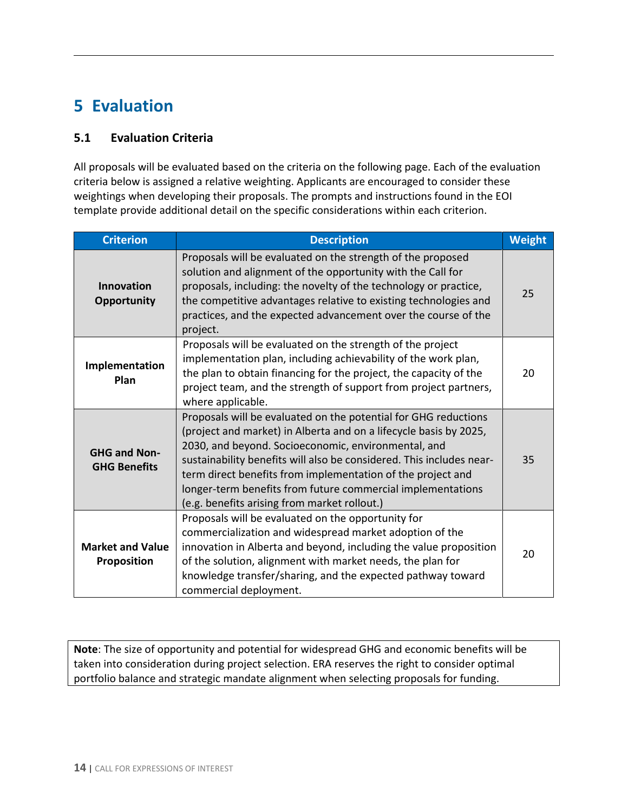# <span id="page-13-0"></span>**5 Evaluation**

## <span id="page-13-1"></span>**5.1 Evaluation Criteria**

All proposals will be evaluated based on the criteria on the following page. Each of the evaluation criteria below is assigned a relative weighting. Applicants are encouraged to consider these weightings when developing their proposals. The prompts and instructions found in the EOI template provide additional detail on the specific considerations within each criterion.

| <b>Criterion</b>                           | <b>Description</b>                                                                                                                                                                                                                                                                                                                                                                                                                                | <b>Weight</b> |
|--------------------------------------------|---------------------------------------------------------------------------------------------------------------------------------------------------------------------------------------------------------------------------------------------------------------------------------------------------------------------------------------------------------------------------------------------------------------------------------------------------|---------------|
| <b>Innovation</b><br><b>Opportunity</b>    | Proposals will be evaluated on the strength of the proposed<br>solution and alignment of the opportunity with the Call for<br>proposals, including: the novelty of the technology or practice,<br>the competitive advantages relative to existing technologies and<br>practices, and the expected advancement over the course of the<br>project.                                                                                                  | 25            |
| Implementation<br>Plan                     | Proposals will be evaluated on the strength of the project<br>implementation plan, including achievability of the work plan,<br>the plan to obtain financing for the project, the capacity of the<br>project team, and the strength of support from project partners,<br>where applicable.                                                                                                                                                        | 20            |
| <b>GHG and Non-</b><br><b>GHG Benefits</b> | Proposals will be evaluated on the potential for GHG reductions<br>(project and market) in Alberta and on a lifecycle basis by 2025,<br>2030, and beyond. Socioeconomic, environmental, and<br>sustainability benefits will also be considered. This includes near-<br>term direct benefits from implementation of the project and<br>longer-term benefits from future commercial implementations<br>(e.g. benefits arising from market rollout.) | 35            |
| <b>Market and Value</b><br>Proposition     | Proposals will be evaluated on the opportunity for<br>commercialization and widespread market adoption of the<br>innovation in Alberta and beyond, including the value proposition<br>of the solution, alignment with market needs, the plan for<br>knowledge transfer/sharing, and the expected pathway toward<br>commercial deployment.                                                                                                         | 20            |

**Note**: The size of opportunity and potential for widespread GHG and economic benefits will be taken into consideration during project selection. ERA reserves the right to consider optimal portfolio balance and strategic mandate alignment when selecting proposals for funding.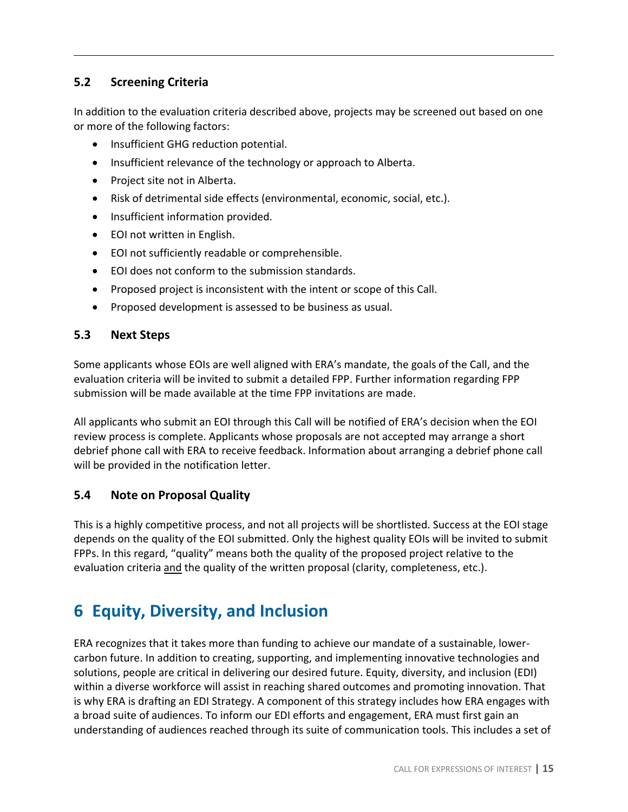# <span id="page-14-0"></span>**5.2 Screening Criteria**

In addition to the evaluation criteria described above, projects may be screened out based on one or more of the following factors:

- Insufficient GHG reduction potential.
- Insufficient relevance of the technology or approach to Alberta.
- Project site not in Alberta.
- Risk of detrimental side effects (environmental, economic, social, etc.).
- Insufficient information provided.
- EOI not written in English.
- EOI not sufficiently readable or comprehensible.
- EOI does not conform to the submission standards.
- Proposed project is inconsistent with the intent or scope of this Call.
- Proposed development is assessed to be business as usual.

#### <span id="page-14-1"></span>**5.3 Next Steps**

Some applicants whose EOIs are well aligned with ERA's mandate, the goals of the Call, and the evaluation criteria will be invited to submit a detailed FPP. Further information regarding FPP submission will be made available at the time FPP invitations are made.

All applicants who submit an EOI through this Call will be notified of ERA's decision when the EOI review process is complete. Applicants whose proposals are not accepted may arrange a short debrief phone call with ERA to receive feedback. Information about arranging a debrief phone call will be provided in the notification letter.

#### <span id="page-14-2"></span>**5.4 Note on Proposal Quality**

This is a highly competitive process, and not all projects will be shortlisted. Success at the EOI stage depends on the quality of the EOI submitted. Only the highest quality EOIs will be invited to submit FPPs. In this regard, "quality" means both the quality of the proposed project relative to the evaluation criteria and the quality of the written proposal (clarity, completeness, etc.).

# <span id="page-14-3"></span>**6 Equity, Diversity, and Inclusion**

ERA recognizes that it takes more than funding to achieve our mandate of a sustainable, lowercarbon future. In addition to creating, supporting, and implementing innovative technologies and solutions, people are critical in delivering our desired future. Equity, diversity, and inclusion (EDI) within a diverse workforce will assist in reaching shared outcomes and promoting innovation. That is why ERA is drafting an EDI Strategy. A component of this strategy includes how ERA engages with a broad suite of audiences. To inform our EDI efforts and engagement, ERA must first gain an understanding of audiences reached through its suite of communication tools. This includes a set of